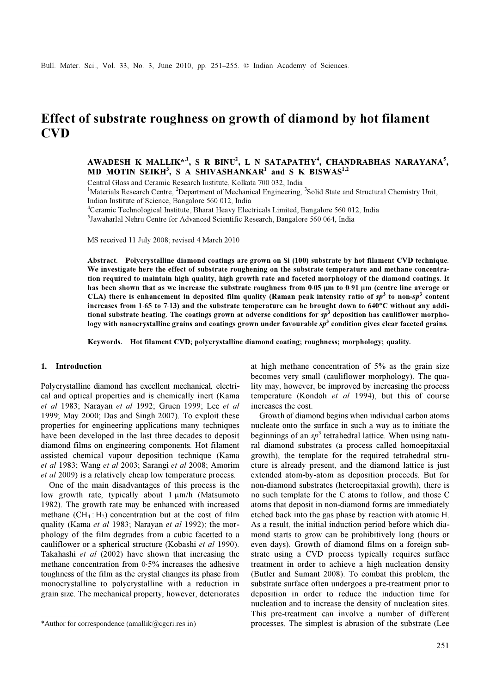# Effect of substrate roughness on growth of diamond by hot filament CVD

AWADESH K MALLIK\*', S R BINU', L N SATAPATHY', CHANDRABHAS NARAYANA', MD MOTIN SEIKH<sup>3</sup>, S A SHIVASHANKAR<sup>1</sup> and S K BISWAS<sup>1,2</sup>

Central Glass and Ceramic Research Institute, Kolkata 700 032, India

<sup>1</sup>Materials Research Centre, <sup>2</sup>Department of Mechanical Engineering, <sup>3</sup>Solid State and Structural Chemistry Unit, Indian Institute of Science, Bangalore 560 012, India

4 Ceramic Technological Institute, Bharat Heavy Electricals Limited, Bangalore 560 012, India

5 Jawaharlal Nehru Centre for Advanced Scientific Research, Bangalore 560 064, India

MS received 11 July 2008; revised 4 March 2010

Abstract. Polycrystalline diamond coatings are grown on Si (100) substrate by hot filament CVD technique. We investigate here the effect of substrate roughening on the substrate temperature and methane concentration required to maintain high quality, high growth rate and faceted morphology of the diamond coatings. It has been shown that as we increase the substrate roughness from 0⋅05 μm to 0⋅91 μm (centre line average or CLA) there is enhancement in deposited film quality (Raman peak intensity ratio of  $sp^3$  to non-sp<sup>3</sup> content increases from 1⋅65 to 7⋅13) and the substrate temperature can be brought down to 640°C without any additional substrate heating. The coatings grown at adverse conditions for  $sp^3$  deposition has cauliflower morphology with nanocrystalline grains and coatings grown under favourable  $p^3$  condition gives clear faceted grains.

Keywords. Hot filament CVD; polycrystalline diamond coating; roughness; morphology; quality.

# 1. Introduction

Polycrystalline diamond has excellent mechanical, electrical and optical properties and is chemically inert (Kama et al 1983; Narayan et al 1992; Gruen 1999; Lee et al 1999; May 2000; Das and Singh 2007). To exploit these properties for engineering applications many techniques have been developed in the last three decades to deposit diamond films on engineering components. Hot filament assisted chemical vapour deposition technique (Kama et al 1983; Wang et al 2003; Sarangi et al 2008; Amorim et al 2009) is a relatively cheap low temperature process.

 One of the main disadvantages of this process is the low growth rate, typically about 1 μm/h (Matsumoto 1982). The growth rate may be enhanced with increased methane  $(CH_4: H_2)$  concentration but at the cost of film quality (Kama et al 1983; Narayan et al 1992); the morphology of the film degrades from a cubic facetted to a cauliflower or a spherical structure (Kobashi et al 1990). Takahashi et al (2002) have shown that increasing the methane concentration from 0⋅5% increases the adhesive toughness of the film as the crystal changes its phase from monocrystalline to polycrystalline with a reduction in grain size. The mechanical property, however, deteriorates at high methane concentration of 5% as the grain size becomes very small (cauliflower morphology). The quality may, however, be improved by increasing the process temperature (Kondoh et al 1994), but this of course increases the cost.

 Growth of diamond begins when individual carbon atoms nucleate onto the surface in such a way as to initiate the beginnings of an  $sp^3$  tetrahedral lattice. When using natural diamond substrates (a process called homoepitaxial growth), the template for the required tetrahedral structure is already present, and the diamond lattice is just extended atom-by-atom as deposition proceeds. But for non-diamond substrates (heteroepitaxial growth), there is no such template for the C atoms to follow, and those C atoms that deposit in non-diamond forms are immediately etched back into the gas phase by reaction with atomic H. As a result, the initial induction period before which diamond starts to grow can be prohibitively long (hours or even days). Growth of diamond films on a foreign substrate using a CVD process typically requires surface treatment in order to achieve a high nucleation density (Butler and Sumant 2008). To combat this problem, the substrate surface often undergoes a pre-treatment prior to deposition in order to reduce the induction time for nucleation and to increase the density of nucleation sites. This pre-treatment can involve a number of different \*Author for correspondence (amallik@cgcri.res.in) processes. The simplest is abrasion of the substrate (Lee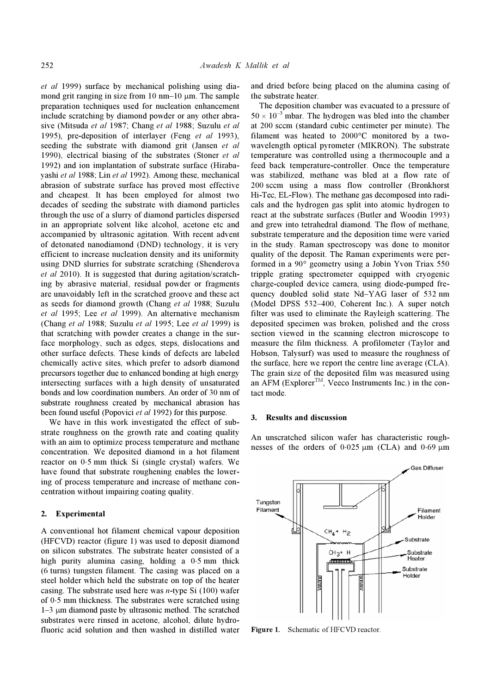et al 1999) surface by mechanical polishing using diamond grit ranging in size from 10 nm–10  $\mu$ m. The sample preparation techniques used for nucleation enhancement include scratching by diamond powder or any other abrasive (Mitsuda et al 1987; Chang et al 1988; Suzulu et al 1995), pre-deposition of interlayer (Feng et al 1993), seeding the substrate with diamond grit (Jansen et al. 1990), electrical biasing of the substrates (Stoner et al. 1992) and ion implantation of substrate surface (Hirabayashi et al 1988; Lin et al 1992). Among these, mechanical abrasion of substrate surface has proved most effective and cheapest. It has been employed for almost two decades of seeding the substrate with diamond particles through the use of a slurry of diamond particles dispersed in an appropriate solvent like alcohol, acetone etc and accompanied by ultrasonic agitation. With recent advent of detonated nanodiamond (DND) technology, it is very efficient to increase nucleation density and its uniformity using DND slurries for substrate scratching (Shenderova et al 2010). It is suggested that during agitation/scratching by abrasive material, residual powder or fragments are unavoidably left in the scratched groove and these act as seeds for diamond growth (Chang et al 1988; Suzulu et al 1995; Lee et al 1999). An alternative mechanism (Chang et al 1988; Suzulu et al 1995; Lee et al 1999) is that scratching with powder creates a change in the surface morphology, such as edges, steps, dislocations and other surface defects. These kinds of defects are labeled chemically active sites, which prefer to adsorb diamond precursors together due to enhanced bonding at high energy intersecting surfaces with a high density of unsaturated bonds and low coordination numbers. An order of 30 nm of substrate roughness created by mechanical abrasion has been found useful (Popovici et al 1992) for this purpose.

 We have in this work investigated the effect of substrate roughness on the growth rate and coating quality with an aim to optimize process temperature and methane concentration. We deposited diamond in a hot filament reactor on 0⋅5 mm thick Si (single crystal) wafers. We have found that substrate roughening enables the lowering of process temperature and increase of methane concentration without impairing coating quality.

# 2. Experimental

A conventional hot filament chemical vapour deposition (HFCVD) reactor (figure 1) was used to deposit diamond on silicon substrates. The substrate heater consisted of a high purity alumina casing, holding a  $0.5$  mm thick (6 turns) tungsten filament. The casing was placed on a steel holder which held the substrate on top of the heater casing. The substrate used here was  $n$ -type Si (100) wafer of 0⋅5 mm thickness. The substrates were scratched using 1–3 μm diamond paste by ultrasonic method. The scratched substrates were rinsed in acetone, alcohol, dilute hydrofluoric acid solution and then washed in distilled water

and dried before being placed on the alumina casing of the substrate heater.

 The deposition chamber was evacuated to a pressure of  $50 \times 10^{-3}$  mbar. The hydrogen was bled into the chamber at 200 sccm (standard cubic centimeter per minute). The filament was heated to 2000°C monitored by a twowavelength optical pyrometer (MIKRON). The substrate temperature was controlled using a thermocouple and a feed back temperature-controller. Once the temperature was stabilized, methane was bled at a flow rate of 200 sccm using a mass flow controller (Bronkhorst Hi-Tec, EL-Flow). The methane gas decomposed into radicals and the hydrogen gas split into atomic hydrogen to react at the substrate surfaces (Butler and Woodin 1993) and grew into tetrahedral diamond. The flow of methane, substrate temperature and the deposition time were varied in the study. Raman spectroscopy was done to monitor quality of the deposit. The Raman experiments were performed in a 90° geometry using a Jobin Yvon Triax 550 tripple grating spectrometer equipped with cryogenic charge-coupled device camera, using diode-pumped frequency doubled solid state Nd–YAG laser of 532 nm (Model DPSS 532–400, Coherent Inc.). A super notch filter was used to eliminate the Rayleigh scattering. The deposited specimen was broken, polished and the cross section viewed in the scanning electron microscope to measure the film thickness. A profilometer (Taylor and Hobson, Talysurf) was used to measure the roughness of the surface, here we report the centre line average (CLA). The grain size of the deposited film was measured using an AFM (Explorer<sup>TM</sup>, Veeco Instruments Inc.) in the contact mode.

#### 3. Results and discussion

An unscratched silicon wafer has characteristic roughnesses of the orders of  $0.025 \mu m$  (CLA) and  $0.69 \mu m$ 



Figure 1. Schematic of HFCVD reactor.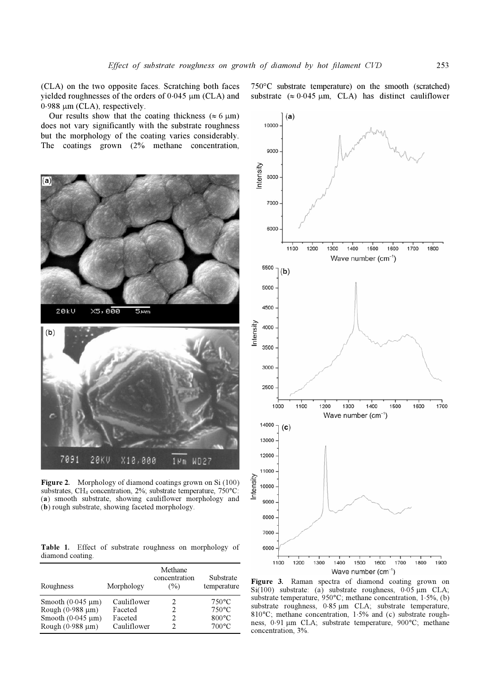(CLA) on the two opposite faces. Scratching both faces yielded roughnesses of the orders of  $0.045 \mu m$  (CLA) and 0⋅988 μm (CLA), respectively.

Our results show that the coating thickness ( $\approx 6 \text{ }\mu\text{m}$ ) does not vary significantly with the substrate roughness but the morphology of the coating varies considerably. The coatings grown (2% methane concentration,



Figure 2. Morphology of diamond coatings grown on Si (100) substrates, CH<sub>4</sub> concentration, 2%; substrate temperature, 750°C: (a) smooth substrate, showing cauliflower morphology and (b) rough substrate, showing faceted morphology.

Table 1. Effect of substrate roughness on morphology of diamond coating.

| Roughness              | Morphology  | Methane<br>concentration<br>(%) | Substrate<br>temperature |
|------------------------|-------------|---------------------------------|--------------------------|
| Smooth $(0.045 \mu m)$ | Cauliflower | 2                               | $750^{\circ}$ C          |
| Rough $(0.988 \mu m)$  | Faceted     |                                 | $750^{\circ}$ C          |
| Smooth $(0.045 \mu m)$ | Faceted     |                                 | $800^{\circ}$ C          |
| Rough $(0.988 \mu m)$  | Cauliflower | C                               | $700^{\circ}$ C          |



Figure 3. Raman spectra of diamond coating grown on Si $(100)$  substrate: (a) substrate roughness,  $0.05 \mu m$  CLA; substrate temperature, 950°C; methane concentration, 1⋅5%, (b) substrate roughness, 0⋅85 μm CLA; substrate temperature, 810°C; methane concentration, 1⋅5% and (c) substrate roughness, 0⋅91 μm CLA; substrate temperature, 900°C; methane concentration, 3%.

750°C substrate temperature) on the smooth (scratched) substrate  $(\approx 0.045 \text{ µm}, \text{CLA})$  has distinct cauliflower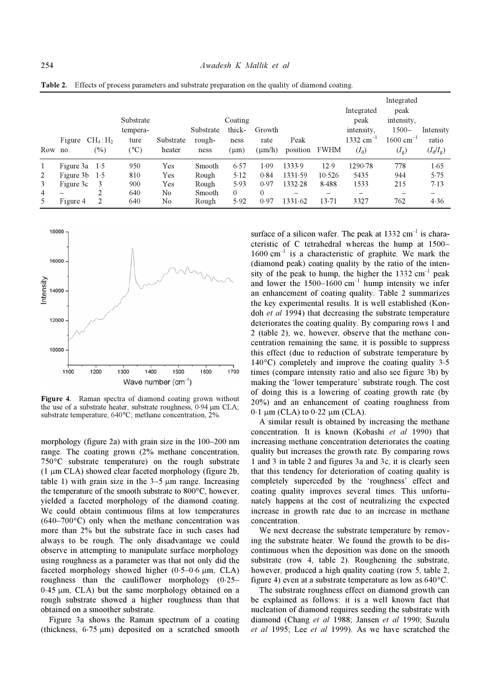| Row no. | Figure    | $CH_4: H_2$<br>$(\%)$ | Substrate<br>tempera-<br>ture<br>$(^\circ C)$ | Substrate<br>heater | Substrate<br>rough-<br>ness | Coating<br>thick-<br>ness<br>$(\mu m)$ | Growth<br>rate<br>$(\mu m/h)$ | Peak<br>position         | <b>FWHM</b>              | Integrated<br>peak<br>intensity.<br>$1332 \text{ cm}^{-1}$<br>$(I_d)$ | Integrated<br>peak<br>intensity.<br>$1500 -$<br>$1600 \text{ cm}^{-1}$<br>$(I_{g})$ | Intensity<br>ratio<br>$(I_d/I_g)$ |
|---------|-----------|-----------------------|-----------------------------------------------|---------------------|-----------------------------|----------------------------------------|-------------------------------|--------------------------|--------------------------|-----------------------------------------------------------------------|-------------------------------------------------------------------------------------|-----------------------------------|
|         | Figure 3a | 1.5                   | 950                                           | Yes                 | Smooth                      | 6.57                                   | 1.09                          | 1333.9                   | 12.9                     | 1290.78                                                               | 778                                                                                 | 1.65                              |
| 2       | Figure 3b | 1.5                   | 810                                           | Yes                 | Rough                       | 5.12                                   | 0.84                          | 1331.59                  | 10.526                   | 5435                                                                  | 944                                                                                 | 5.75                              |
| 3       | Figure 3c | 3                     | 900                                           | Yes                 | Rough                       | 5.93                                   | 0.97                          | 1332.28                  | 8.488                    | 1533                                                                  | 215                                                                                 | 7.13                              |
| 4       |           |                       | 640                                           | No                  | Smooth                      | $\Omega$                               | $\theta$                      | $\overline{\phantom{m}}$ | $\overline{\phantom{m}}$ | $\qquad \qquad -$                                                     | –                                                                                   | -                                 |
| 5       | Figure 4  |                       | 640                                           | No                  | Rough                       | 5.92                                   | 0.97                          | 1331.62                  | 13.71                    | 3327                                                                  | 762                                                                                 | 4.36                              |

Table 2. Effects of process parameters and substrate preparation on the quality of diamond coating.



Figure 4. Raman spectra of diamond coating grown without the use of a substrate heater, substrate roughness, 0⋅94 μm CLA; substrate temperature, 640°C; methane concentration, 2%.

morphology (figure 2a) with grain size in the 100–200 nm range. The coating grown (2% methane concentration, 750°C substrate temperature) on the rough substrate (1 μm CLA) showed clear faceted morphology (figure 2b, table 1) with grain size in the  $3-5 \mu m$  range. Increasing the temperature of the smooth substrate to 800°C, however, yielded a faceted morphology of the diamond coating. We could obtain continuous films at low temperatures  $(640-700\degree C)$  only when the methane concentration was more than 2% but the substrate face in such cases had always to be rough. The only disadvantage we could observe in attempting to manipulate surface morphology using roughness as a parameter was that not only did the faceted morphology showed higher  $(0.5-0.6 \mu m, CLA)$ roughness than the cauliflower morphology (0⋅25– 0⋅45 μm, CLA) but the same morphology obtained on a rough substrate showed a higher roughness than that obtained on a smoother substrate.

 Figure 3a shows the Raman spectrum of a coating (thickness,  $6.75 \mu m$ ) deposited on a scratched smooth

surface of a silicon wafer. The peak at  $1332 \text{ cm}^{-1}$  is characteristic of C tetrahedral whereas the hump at 1500–  $1600 \text{ cm}^{-1}$  is a characteristic of graphite. We mark the (diamond peak) coating quality by the ratio of the intensity of the peak to hump, the higher the  $1332 \text{ cm}^{-1}$  peak and lower the  $1500-1600$  cm<sup>-1</sup> hump intensity we infer an enhancement of coating quality. Table 2 summarizes the key experimental results. It is well established (Kondoh et al 1994) that decreasing the substrate temperature deteriorates the coating quality. By comparing rows 1 and 2 (table 2), we, however, observe that the methane concentration remaining the same, it is possible to suppress this effect (due to reduction of substrate temperature by 140°C) completely and improve the coating quality 3⋅5 times (compare intensity ratio and also see figure 3b) by making the 'lower temperature' substrate rough. The cost of doing this is a lowering of coating growth rate (by 20%) and an enhancement of coating roughness from  $0.1 \mu m$  (CLA) to  $0.22 \mu m$  (CLA).

 A similar result is obtained by increasing the methane concentration. It is known (Kobashi et al 1990) that increasing methane concentration deteriorates the coating quality but increases the growth rate. By comparing rows 1 and 3 in table 2 and figures 3a and 3c, it is clearly seen that this tendency for deterioration of coating quality is completely superceded by the 'roughness' effect and coating quality improves several times. This unfortunately happens at the cost of neutralizing the expected increase in growth rate due to an increase in methane concentration.

 We next decrease the substrate temperature by removing the substrate heater. We found the growth to be discontinuous when the deposition was done on the smooth substrate (row 4, table 2). Roughening the substrate, however, produced a high quality coating (row 5, table 2, figure 4) even at a substrate temperature as low as 640°C.

 The substrate roughness effect on diamond growth can be explained as follows: it is a well known fact that nucleation of diamond requires seeding the substrate with diamond (Chang et al 1988; Jansen et al 1990; Suzulu et al 1995; Lee et al 1999). As we have scratched the